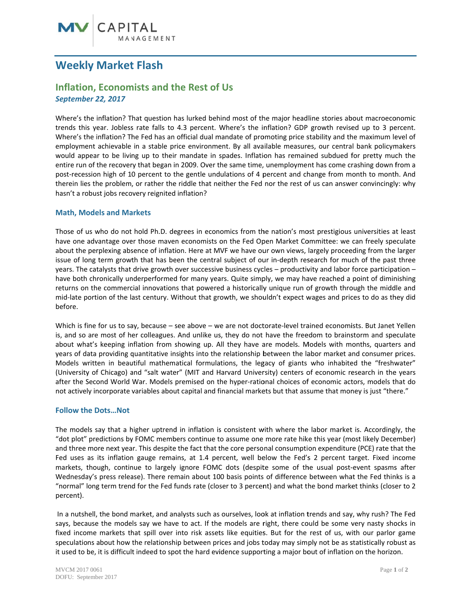# **Weekly Market Flash**

## **Inflation, Economists and the Rest of Us September 22, 2017**

Where's the inflation? That question has lurked behind most of the major headline stories about macroeconomic trends this year. Jobless rate falls to 4.3 percent. Where's the inflation? GDP growth revised up to 3 percent. Where's the inflation? The Fed has an official dual mandate of promoting price stability and the maximum level of employment achievable in a stable price environment. By all available measures, our central bank policymakers would appear to be living up to their mandate in spades. Inflation has remained subdued for pretty much the entire run of the recovery that began in 2009. Over the same time, unemployment has come crashing down from a post-recession high of 10 percent to the gentle undulations of 4 percent and change from month to month. And therein lies the problem, or rather the riddle that neither the Fed nor the rest of us can answer convincingly: why hasn't a robust jobs recovery reignited inflation?

#### **Math, Models and Markets**

Those of us who do not hold Ph.D. degrees in economics from the nation's most prestigious universities at least have one advantage over those maven economists on the Fed Open Market Committee: we can freely speculate about the perplexing absence of inflation. Here at MVF we have our own views, largely proceeding from the larger issue of long term growth that has been the central subject of our in-depth research for much of the past three years. The catalysts that drive growth over successive business cycles - productivity and labor force participation have both chronically underperformed for many years. Quite simply, we may have reached a point of diminishing returns on the commercial innovations that powered a historically unique run of growth through the middle and mid-late portion of the last century. Without that growth, we shouldn't expect wages and prices to do as they did before.

Which is fine for us to say, because - see above - we are not doctorate-level trained economists. But Janet Yellen is, and so are most of her colleagues. And unlike us, they do not have the freedom to brainstorm and speculate about what's keeping inflation from showing up. All they have are models. Models with months, quarters and years of data providing quantitative insights into the relationship between the labor market and consumer prices. Models written in beautiful mathematical formulations, the legacy of giants who inhabited the "freshwater" (University of Chicago) and "salt water" (MIT and Harvard University) centers of economic research in the years after the Second World War. Models premised on the hyper-rational choices of economic actors, models that do not actively incorporate variables about capital and financial markets but that assume that money is just "there."

#### **Follow the Dots...Not**

The models say that a higher uptrend in inflation is consistent with where the labor market is. Accordingly, the "dot plot" predictions by FOMC members continue to assume one more rate hike this year (most likely December) and three more next year. This despite the fact that the core personal consumption expenditure (PCE) rate that the Fed uses as its inflation gauge remains, at 1.4 percent, well below the Fed's 2 percent target. Fixed income markets, though, continue to largely ignore FOMC dots (despite some of the usual post-event spasms after Wednesday's press release). There remain about 100 basis points of difference between what the Fed thinks is a "normal" long term trend for the Fed funds rate (closer to 3 percent) and what the bond market thinks (closer to 2 percent).

In a nutshell, the bond market, and analysts such as ourselves, look at inflation trends and say, why rush? The Fed says, because the models say we have to act. If the models are right, there could be some very nasty shocks in fixed income markets that spill over into risk assets like equities. But for the rest of us, with our parlor game speculations about how the relationship between prices and jobs today may simply not be as statistically robust as it used to be, it is difficult indeed to spot the hard evidence supporting a major bout of inflation on the horizon.